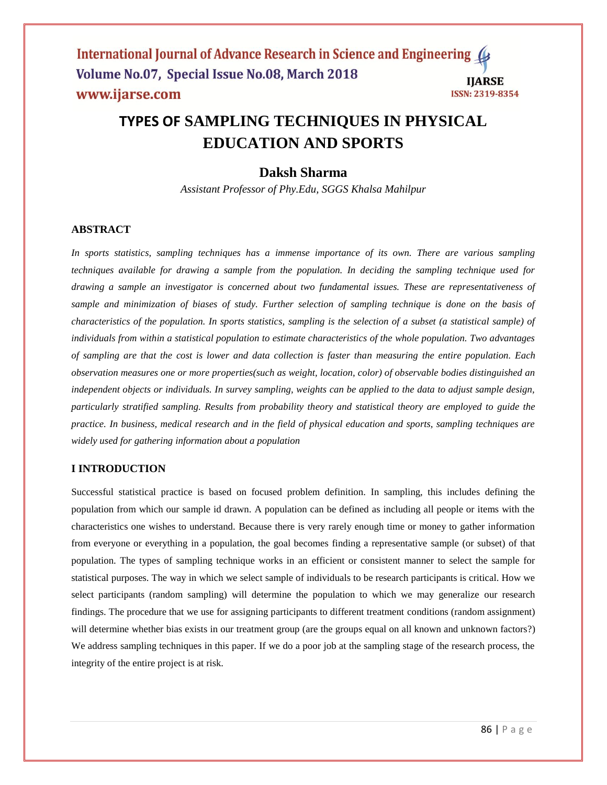#### International Journal of Advance Research in Science and Engineering ( Volume No.07, Special Issue No.08, March 2018 **IIARSE** www.ijarse.com **ISSN: 2319-8354**

# **TYPES OF SAMPLING TECHNIQUES IN PHYSICAL EDUCATION AND SPORTS**

# **Daksh Sharma**

*Assistant Professor of Phy.Edu, SGGS Khalsa Mahilpur*

## **ABSTRACT**

*In sports statistics, sampling techniques has a immense importance of its own. There are various sampling techniques available for drawing a sample from the population. In deciding the sampling technique used for drawing a sample an investigator is concerned about two fundamental issues. These are representativeness of sample and minimization of biases of study. Further selection of sampling technique is done on the basis of characteristics of the population. In sports statistics, sampling is the selection of a subset (a statistical sample) of individuals from within a statistical population to estimate characteristics of the whole population. Two advantages of sampling are that the cost is lower and data collection is faster than measuring the entire population. Each observation measures one or more properties(such as weight, location, color) of observable bodies distinguished an independent objects or individuals. In survey sampling, weights can be applied to the data to adjust sample design, particularly stratified sampling. Results from probability theory and statistical theory are employed to guide the practice. In business, medical research and in the field of physical education and sports, sampling techniques are widely used for gathering information about a population*

## **I INTRODUCTION**

Successful statistical practice is based on focused problem definition. In sampling, this includes defining the population from which our sample id drawn. A population can be defined as including all people or items with the characteristics one wishes to understand. Because there is very rarely enough time or money to gather information from everyone or everything in a population, the goal becomes finding a representative sample (or subset) of that population. The types of sampling technique works in an efficient or consistent manner to select the sample for statistical purposes. The way in which we select sample of individuals to be research participants is critical. How we select participants (random sampling) will determine the population to which we may generalize our research findings. The procedure that we use for assigning participants to different treatment conditions (random assignment) will determine whether bias exists in our treatment group (are the groups equal on all known and unknown factors?) We address sampling techniques in this paper. If we do a poor job at the sampling stage of the research process, the integrity of the entire project is at risk.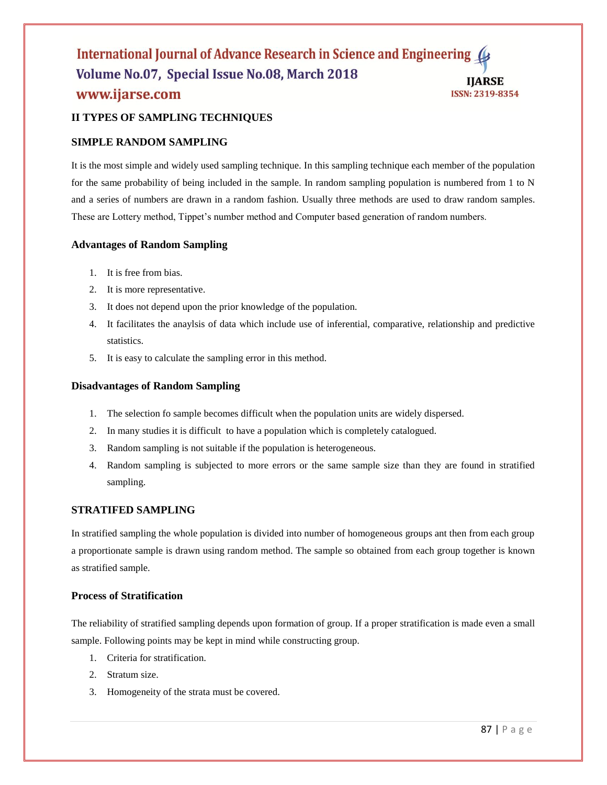## International Journal of Advance Research in Science and Engineering Volume No.07, Special Issue No.08, March 2018 **IIARSE** www.ijarse.com **ISSN: 2319-8354**

## **II TYPES OF SAMPLING TECHNIQUES**

## **SIMPLE RANDOM SAMPLING**

It is the most simple and widely used sampling technique. In this sampling technique each member of the population for the same probability of being included in the sample. In random sampling population is numbered from 1 to N and a series of numbers are drawn in a random fashion. Usually three methods are used to draw random samples. These are Lottery method, Tippet's number method and Computer based generation of random numbers.

## **Advantages of Random Sampling**

- 1. It is free from bias.
- 2. It is more representative.
- 3. It does not depend upon the prior knowledge of the population.
- 4. It facilitates the anaylsis of data which include use of inferential, comparative, relationship and predictive statistics.
- 5. It is easy to calculate the sampling error in this method.

## **Disadvantages of Random Sampling**

- 1. The selection fo sample becomes difficult when the population units are widely dispersed.
- 2. In many studies it is difficult to have a population which is completely catalogued.
- 3. Random sampling is not suitable if the population is heterogeneous.
- 4. Random sampling is subjected to more errors or the same sample size than they are found in stratified sampling.

## **STRATIFED SAMPLING**

In stratified sampling the whole population is divided into number of homogeneous groups ant then from each group a proportionate sample is drawn using random method. The sample so obtained from each group together is known as stratified sample.

## **Process of Stratification**

The reliability of stratified sampling depends upon formation of group. If a proper stratification is made even a small sample. Following points may be kept in mind while constructing group.

- 1. Criteria for stratification.
- 2. Stratum size.
- 3. Homogeneity of the strata must be covered.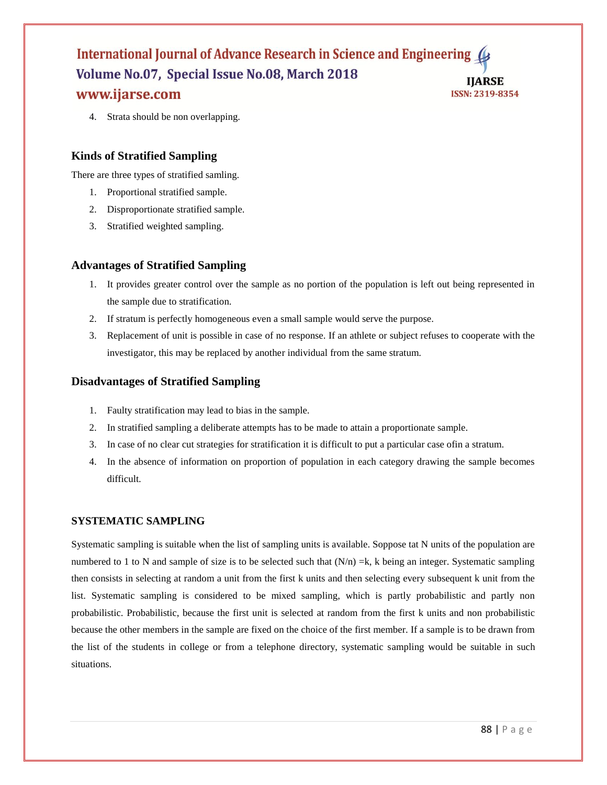## International Journal of Advance Research in Science and Engineering Volume No.07, Special Issue No.08, March 2018 **IIARSE** www.ijarse.com **ISSN: 2319-8354**

4. Strata should be non overlapping.

## **Kinds of Stratified Sampling**

There are three types of stratified samling.

- 1. Proportional stratified sample.
- 2. Disproportionate stratified sample.
- 3. Stratified weighted sampling.

## **Advantages of Stratified Sampling**

- 1. It provides greater control over the sample as no portion of the population is left out being represented in the sample due to stratification.
- 2. If stratum is perfectly homogeneous even a small sample would serve the purpose.
- 3. Replacement of unit is possible in case of no response. If an athlete or subject refuses to cooperate with the investigator, this may be replaced by another individual from the same stratum.

## **Disadvantages of Stratified Sampling**

- 1. Faulty stratification may lead to bias in the sample.
- 2. In stratified sampling a deliberate attempts has to be made to attain a proportionate sample.
- 3. In case of no clear cut strategies for stratification it is difficult to put a particular case ofin a stratum.
- 4. In the absence of information on proportion of population in each category drawing the sample becomes difficult.

## **SYSTEMATIC SAMPLING**

Systematic sampling is suitable when the list of sampling units is available. Soppose tat N units of the population are numbered to 1 to N and sample of size is to be selected such that  $(N/n) = k$ , k being an integer. Systematic sampling then consists in selecting at random a unit from the first k units and then selecting every subsequent k unit from the list. Systematic sampling is considered to be mixed sampling, which is partly probabilistic and partly non probabilistic. Probabilistic, because the first unit is selected at random from the first k units and non probabilistic because the other members in the sample are fixed on the choice of the first member. If a sample is to be drawn from the list of the students in college or from a telephone directory, systematic sampling would be suitable in such situations.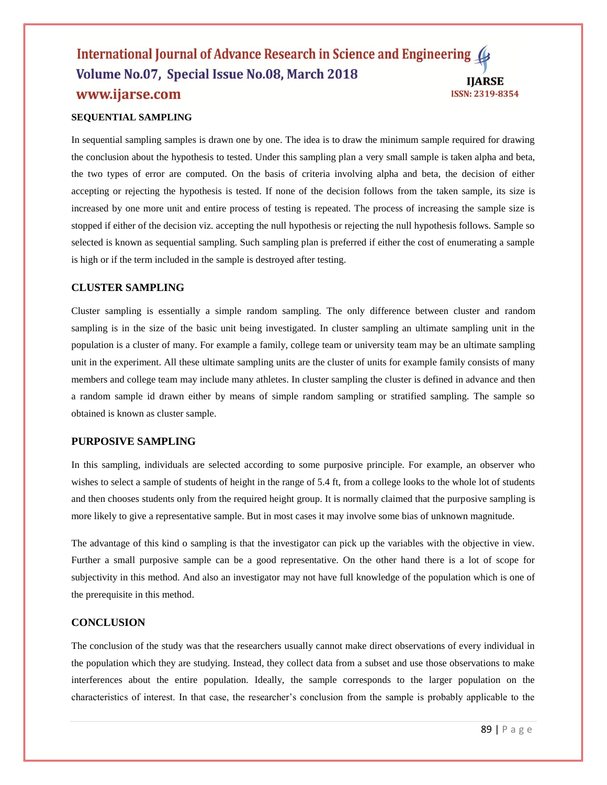## International Journal of Advance Research in Science and Engineering (4 Volume No.07, Special Issue No.08, March 2018 **IIARSE** www.ijarse.com **ISSN: 2319-8354**

## **SEQUENTIAL SAMPLING**

In sequential sampling samples is drawn one by one. The idea is to draw the minimum sample required for drawing the conclusion about the hypothesis to tested. Under this sampling plan a very small sample is taken alpha and beta, the two types of error are computed. On the basis of criteria involving alpha and beta, the decision of either accepting or rejecting the hypothesis is tested. If none of the decision follows from the taken sample, its size is increased by one more unit and entire process of testing is repeated. The process of increasing the sample size is stopped if either of the decision viz. accepting the null hypothesis or rejecting the null hypothesis follows. Sample so selected is known as sequential sampling. Such sampling plan is preferred if either the cost of enumerating a sample is high or if the term included in the sample is destroyed after testing.

## **CLUSTER SAMPLING**

Cluster sampling is essentially a simple random sampling. The only difference between cluster and random sampling is in the size of the basic unit being investigated. In cluster sampling an ultimate sampling unit in the population is a cluster of many. For example a family, college team or university team may be an ultimate sampling unit in the experiment. All these ultimate sampling units are the cluster of units for example family consists of many members and college team may include many athletes. In cluster sampling the cluster is defined in advance and then a random sample id drawn either by means of simple random sampling or stratified sampling. The sample so obtained is known as cluster sample.

## **PURPOSIVE SAMPLING**

In this sampling, individuals are selected according to some purposive principle. For example, an observer who wishes to select a sample of students of height in the range of 5.4 ft, from a college looks to the whole lot of students and then chooses students only from the required height group. It is normally claimed that the purposive sampling is more likely to give a representative sample. But in most cases it may involve some bias of unknown magnitude.

The advantage of this kind o sampling is that the investigator can pick up the variables with the objective in view. Further a small purposive sample can be a good representative. On the other hand there is a lot of scope for subjectivity in this method. And also an investigator may not have full knowledge of the population which is one of the prerequisite in this method.

## **CONCLUSION**

The conclusion of the study was that the researchers usually cannot make direct observations of every individual in the population which they are studying. Instead, they collect data from a subset and use those observations to make interferences about the entire population. Ideally, the sample corresponds to the larger population on the characteristics of interest. In that case, the researcher's conclusion from the sample is probably applicable to the